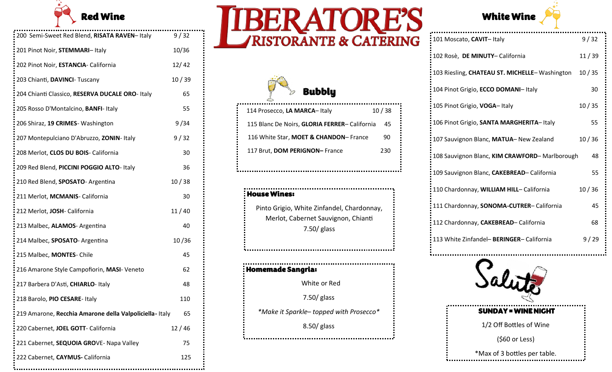

| 200 Semi-Sweet Red Blend, RISATA RAVEN-Italy            | 9/32  |
|---------------------------------------------------------|-------|
| 201 Pinot Noir, STEMMARI-Italy                          | 10/36 |
| 202 Pinot Noir, ESTANCIA- California                    | 12/42 |
| 203 Chianti, DAVINCI- Tuscany                           | 10/39 |
| 204 Chianti Classico, RESERVA DUCALE ORO- Italy         | 65    |
| 205 Rosso D'Montalcino, BANFI- Italy                    | 55    |
| 206 Shiraz, 19 CRIMES- Washington                       | 9/34  |
| 207 Montepulciano D'Abruzzo, ZONIN- Italy               | 9/32  |
| 208 Merlot, CLOS DU BOIS- California                    | 30    |
| 209 Red Blend, PICCINI POGGIO ALTO- Italy               | 36    |
| 210 Red Blend, SPOSATO- Argentina                       | 10/38 |
| 211 Merlot, MCMANIS- California                         | 30    |
| 212 Merlot, JOSH- California                            | 11/40 |
| 213 Malbec, ALAMOS- Argentina                           | 40    |
| 214 Malbec, SPOSATO- Argentina                          | 10/36 |
| 215 Malbec, MONTES- Chile                               | 45    |
| 216 Amarone Style Campofiorin, MASI- Veneto             | 62    |
| 217 Barbera D'Asti, CHIARLO-Italy                       | 48    |
| 218 Barolo, PIO CESARE- Italy                           | 110   |
| -219 Amarone, Recchia Amarone della Valpoliciella-Italy | 65    |
| : 220 Cabernet, JOEL GOTT- California                   | 12/46 |
| : 221 Cabernet, SEQUOIA GROVE- Napa Valley              | 75    |
| : 222 Cabernet, CAYMUS- California                      | 125   |
|                                                         |       |





| 114 Prosecco, LA MARCA-Italy                 | 10/38 |
|----------------------------------------------|-------|
| 115 Blanc De Noirs, GLORIA FERRER-California | 45    |
| 116 White Star, MOET & CHANDON-France        | 90    |
| 117 Brut, DOM PERIGNON-France                | 230   |

House Wines: Pinto Grigio, White Zinfandel, Chardonnay, Merlot, Cabernet Sauvignon, Chianti 7.50/ glass Homemade Sangria: White or Red

7.50/ glass

*\*Make it Sparkle– topped with Prosecco\**

8.50/ glass



| 101 Moscato, CAVIT-Italy                      | 9/32  |
|-----------------------------------------------|-------|
| 102 Rosè, DE MINUTY- California               | 11/39 |
| 103 Riesling, CHATEAU ST. MICHELLE-Washington | 10/35 |
| 104 Pinot Grigio, ECCO DOMANI- Italy          | 30    |
| 105 Pinot Grigio, VOGA-Italy                  | 10/35 |
| 106 Pinot Grigio, SANTA MARGHERITA-Italy      | 55    |
| 107 Sauvignon Blanc, MATUA- New Zealand       | 10/36 |
| 108 Sauvignon Blanc, KIM CRAWFORD-Marlborough | 48    |
| 109 Sauvignon Blanc, CAKEBREAD- California    | 55    |
| 110 Chardonnay, WILLIAM HILL- California      | 10/36 |
| 111 Chardonnay, SONOMA-CUTRER-California      | 45    |
| 112 Chardonnay, CAKEBREAD-California          | 68    |
| 113 White Zinfandel- BERINGER- California     | 9/29  |
|                                               |       |



1/2 Off Bottles of Wine

(\$60 or Less)

\*Max of 3 bottles per table.